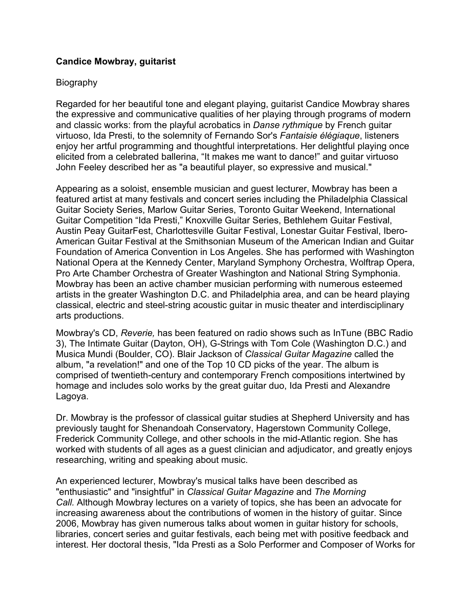## **Candice Mowbray, guitarist**

## Biography

Regarded for her beautiful tone and elegant playing, guitarist Candice Mowbray shares the expressive and communicative qualities of her playing through programs of modern and classic works: from the playful acrobatics in *Danse rythmique* by French guitar virtuoso, Ida Presti, to the solemnity of Fernando Sor's *Fantaisie élégiaque*, listeners enjoy her artful programming and thoughtful interpretations. Her delightful playing once elicited from a celebrated ballerina, "It makes me want to dance!" and guitar virtuoso John Feeley described her as "a beautiful player, so expressive and musical."

Appearing as a soloist, ensemble musician and guest lecturer, Mowbray has been a featured artist at many festivals and concert series including the Philadelphia Classical Guitar Society Series, Marlow Guitar Series, Toronto Guitar Weekend, International Guitar Competition "Ida Presti," Knoxville Guitar Series, Bethlehem Guitar Festival, Austin Peay GuitarFest, Charlottesville Guitar Festival, Lonestar Guitar Festival, Ibero-American Guitar Festival at the Smithsonian Museum of the American Indian and Guitar Foundation of America Convention in Los Angeles. She has performed with Washington National Opera at the Kennedy Center, Maryland Symphony Orchestra, Wolftrap Opera, Pro Arte Chamber Orchestra of Greater Washington and National String Symphonia. Mowbray has been an active chamber musician performing with numerous esteemed artists in the greater Washington D.C. and Philadelphia area, and can be heard playing classical, electric and steel-string acoustic guitar in music theater and interdisciplinary arts productions.

Mowbray's CD, *Reverie,* has been featured on radio shows such as InTune (BBC Radio 3), The Intimate Guitar (Dayton, OH), G-Strings with Tom Cole (Washington D.C.) and Musica Mundi (Boulder, CO). Blair Jackson of *Classical Guitar Magazine* called the album, "a revelation!" and one of the Top 10 CD picks of the year. The album is comprised of twentieth-century and contemporary French compositions intertwined by homage and includes solo works by the great guitar duo, Ida Presti and Alexandre Lagoya.

Dr. Mowbray is the professor of classical guitar studies at Shepherd University and has previously taught for Shenandoah Conservatory, Hagerstown Community College, Frederick Community College, and other schools in the mid-Atlantic region. She has worked with students of all ages as a guest clinician and adjudicator, and greatly enjoys researching, writing and speaking about music.

An experienced lecturer, Mowbray's musical talks have been described as "enthusiastic" and "insightful" in *Classical Guitar Magazine* and *The Morning Call.* Although Mowbray lectures on a variety of topics, she has been an advocate for increasing awareness about the contributions of women in the history of guitar. Since 2006, Mowbray has given numerous talks about women in guitar history for schools, libraries, concert series and guitar festivals, each being met with positive feedback and interest. Her doctoral thesis, "Ida Presti as a Solo Performer and Composer of Works for